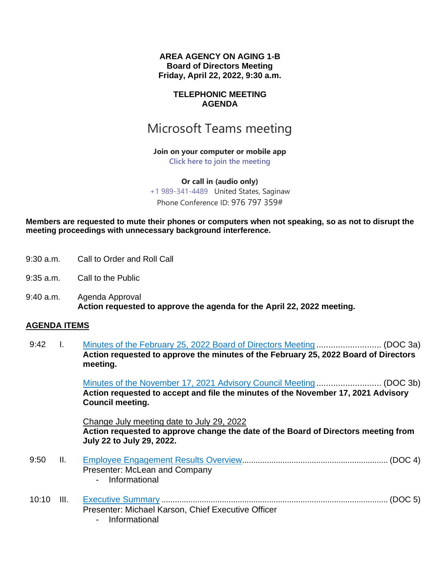**AREA AGENCY ON AGING 1-B Board of Directors Meeting Friday, April 22, 2022, 9:30 a.m.**

#### **TELEPHONIC MEETING AGENDA**

# Microsoft Teams meeting

**Join on your computer or mobile app [Click here to join the meeting](https://teams.microsoft.com/l/meetup-join/19%3ameeting_MzgzNmUyZjYtYjFkNS00MmEwLThjYTAtYWZkNDE3MWEwZWMz%40thread.v2/0?context=%7b%22Tid%22%3a%22788db2d9-9628-4b11-b98d-811709742d71%22%2c%22Oid%22%3a%2214f4d7f6-ebf6-41de-ad29-0a340f35650f%22%7d)**

**Or call in (audio only)** [+1 989-341-4489](tel:+19893414489,,976797359# ) United States, Saginaw Phone Conference ID: 976 797 359#

**Members are requested to mute their phones or computers when not speaking, so as not to disrupt the meeting proceedings with unnecessary background interference.** 

- 9:30 a.m. Call to Order and Roll Call
- 9:35 a.m. Call to the Public
- 9:40 a.m. Agenda Approval **Action requested to approve the agenda for the April 22, 2022 meeting.**

#### **AGENDA ITEMS**

9:42 I. Minutes of the February 25, 2022 Board of Directors Meeting ........................... (DOC 3a) **Action requested to approve the minutes of the February 25, 2022 Board of Directors meeting.**

> Minutes of the November 17, 2021 Advisory Council Meeting ........................... (DOC 3b) **Action requested to accept and file the minutes of the November 17, 2021 Advisory Council meeting.**

Change July meeting date to July 29, 2022 **Action requested to approve change the date of the Board of Directors meeting from July 22 to July 29, 2022.**

|  | Presenter: McLean and Company                      |  |
|--|----------------------------------------------------|--|
|  | - Informational                                    |  |
|  |                                                    |  |
|  | Presenter: Michael Karson, Chief Executive Officer |  |

- Informational